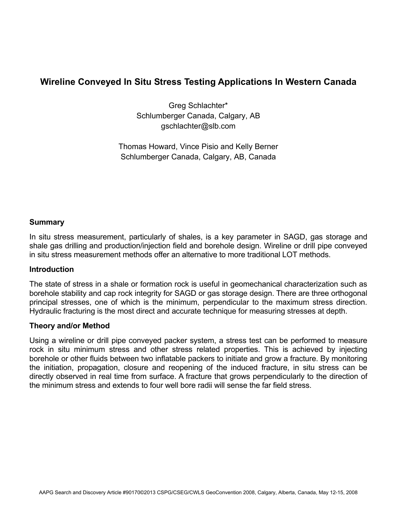# **Wireline Conveyed In Situ Stress Testing Applications In Western Canada**

Greg Schlachter\* Schlumberger Canada, Calgary, AB gschlachter@slb.com

Thomas Howard, Vince Pisio and Kelly Berner Schlumberger Canada, Calgary, AB, Canada

# **Summary**

In situ stress measurement, particularly of shales, is a key parameter in SAGD, gas storage and shale gas drilling and production/injection field and borehole design. Wireline or drill pipe conveyed in situ stress measurement methods offer an alternative to more traditional LOT methods.

# **Introduction**

The state of stress in a shale or formation rock is useful in geomechanical characterization such as borehole stability and cap rock integrity for SAGD or gas storage design. There are three orthogonal principal stresses, one of which is the minimum, perpendicular to the maximum stress direction. Hydraulic fracturing is the most direct and accurate technique for measuring stresses at depth.

# **Theory and/or Method**

Using a wireline or drill pipe conveyed packer system, a stress test can be performed to measure rock in situ minimum stress and other stress related properties. This is achieved by injecting borehole or other fluids between two inflatable packers to initiate and grow a fracture. By monitoring the initiation, propagation, closure and reopening of the induced fracture, in situ stress can be directly observed in real time from surface. A fracture that grows perpendicularly to the direction of the minimum stress and extends to four well bore radii will sense the far field stress.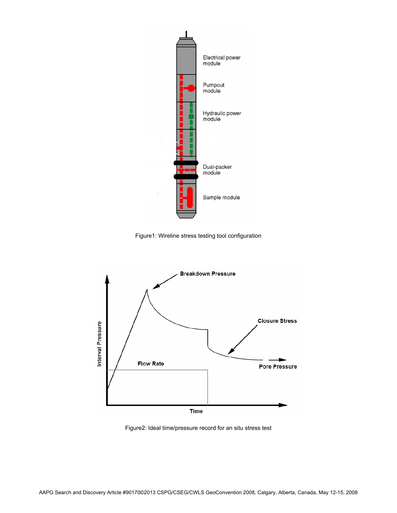

Figure1: Wireline stress testing tool configuration



Figure2: Ideal time/pressure record for an situ stress test